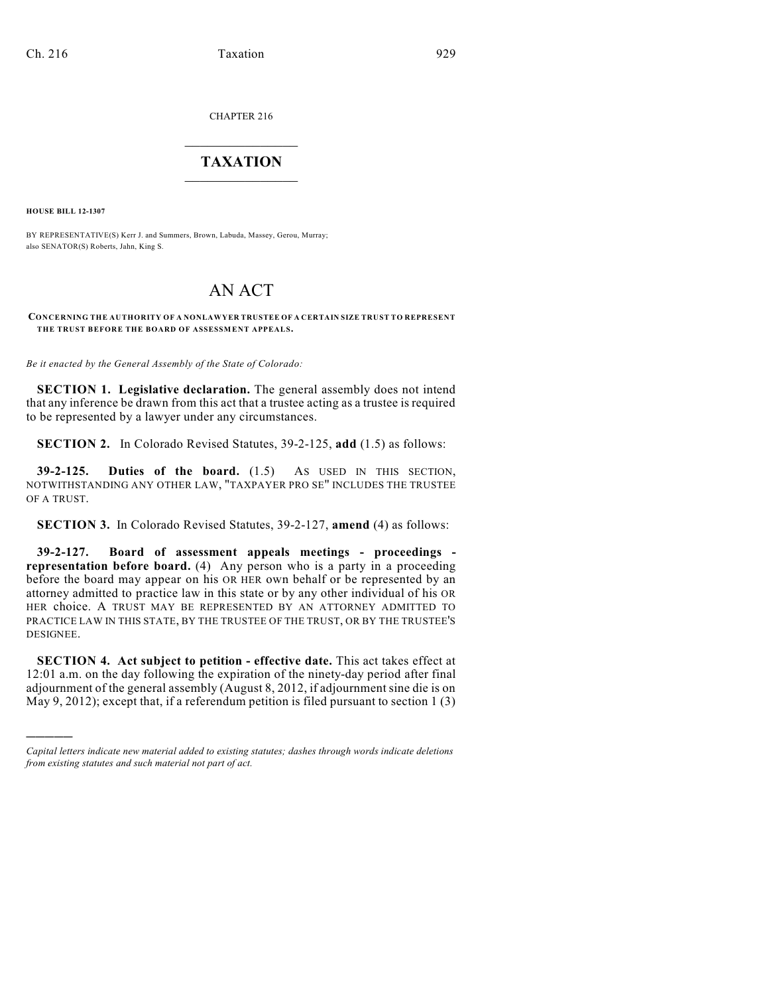CHAPTER 216

## $\overline{\phantom{a}}$  . The set of the set of the set of the set of the set of the set of the set of the set of the set of the set of the set of the set of the set of the set of the set of the set of the set of the set of the set o **TAXATION**  $\_$

**HOUSE BILL 12-1307**

)))))

BY REPRESENTATIVE(S) Kerr J. and Summers, Brown, Labuda, Massey, Gerou, Murray; also SENATOR(S) Roberts, Jahn, King S.

## AN ACT

## **CONCERNING THE AUTHORITY OF A NONLAWYER TRUSTEE OF A CERTAIN SIZE TRUST TO REPRESENT THE TRUST BEFORE THE BOARD OF ASSESSMENT APPEALS.**

*Be it enacted by the General Assembly of the State of Colorado:*

**SECTION 1. Legislative declaration.** The general assembly does not intend that any inference be drawn from this act that a trustee acting as a trustee is required to be represented by a lawyer under any circumstances.

**SECTION 2.** In Colorado Revised Statutes, 39-2-125, **add** (1.5) as follows:

**39-2-125. Duties of the board.** (1.5) AS USED IN THIS SECTION, NOTWITHSTANDING ANY OTHER LAW, "TAXPAYER PRO SE" INCLUDES THE TRUSTEE OF A TRUST.

**SECTION 3.** In Colorado Revised Statutes, 39-2-127, **amend** (4) as follows:

**39-2-127. Board of assessment appeals meetings - proceedings representation before board.** (4) Any person who is a party in a proceeding before the board may appear on his OR HER own behalf or be represented by an attorney admitted to practice law in this state or by any other individual of his OR HER choice. A TRUST MAY BE REPRESENTED BY AN ATTORNEY ADMITTED TO PRACTICE LAW IN THIS STATE, BY THE TRUSTEE OF THE TRUST, OR BY THE TRUSTEE'S DESIGNEE.

**SECTION 4. Act subject to petition - effective date.** This act takes effect at 12:01 a.m. on the day following the expiration of the ninety-day period after final adjournment of the general assembly (August 8, 2012, if adjournment sine die is on May 9, 2012); except that, if a referendum petition is filed pursuant to section 1 (3)

*Capital letters indicate new material added to existing statutes; dashes through words indicate deletions from existing statutes and such material not part of act.*